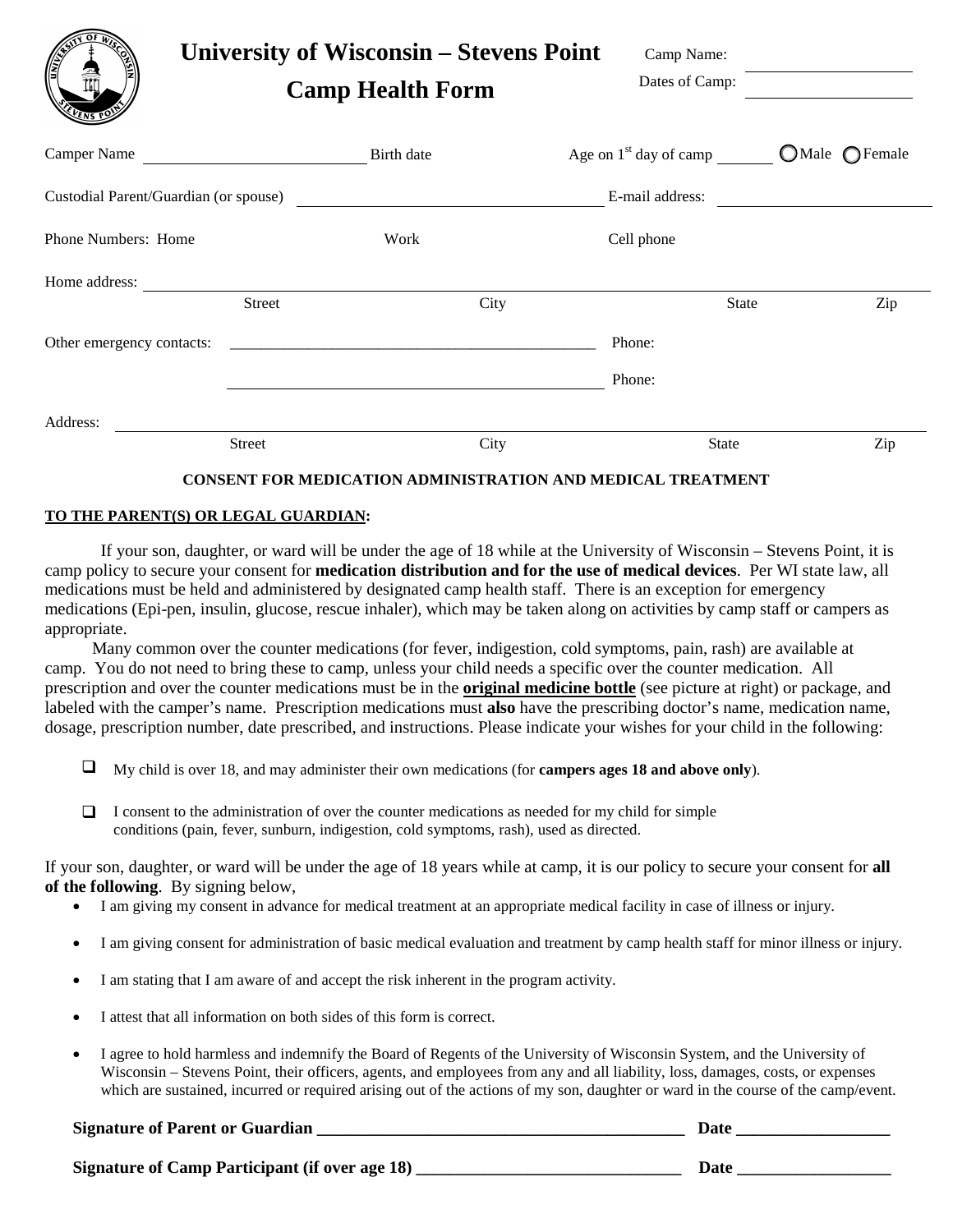| <b>OLWAY</b><br>(F                    |               | University of Wisconsin – Stevens Point<br><b>Camp Health Form</b> |                          | Camp Name:<br>Dates of Camp: |                 |
|---------------------------------------|---------------|--------------------------------------------------------------------|--------------------------|------------------------------|-----------------|
|                                       |               |                                                                    | Age on $1st$ day of camp |                              | $OMale$ OFemale |
| Custodial Parent/Guardian (or spouse) |               |                                                                    | E-mail address:          |                              |                 |
| Phone Numbers: Home                   |               | Work                                                               | Cell phone               |                              |                 |
| Home address:                         |               |                                                                    |                          |                              |                 |
|                                       | <b>Street</b> | City                                                               |                          | State                        | Zip             |
|                                       |               |                                                                    | Phone:                   |                              |                 |
|                                       |               |                                                                    | Phone:                   |                              |                 |
| Address:                              |               |                                                                    |                          |                              |                 |
|                                       | Street        | City                                                               |                          | <b>State</b>                 | Zip             |

## **CONSENT FOR MEDICATION ADMINISTRATION AND MEDICAL TREATMENT**

## **TO THE PARENT(S) OR LEGAL GUARDIAN:**

If your son, daughter, or ward will be under the age of 18 while at the University of Wisconsin – Stevens Point, it is camp policy to secure your consent for **medication distribution and for the use of medical devices**. Per WI state law, all medications must be held and administered by designated camp health staff. There is an exception for emergency medications (Epi-pen, insulin, glucose, rescue inhaler), which may be taken along on activities by camp staff or campers as appropriate.

 Many common over the counter medications (for fever, indigestion, cold symptoms, pain, rash) are available at camp. You do not need to bring these to camp, unless your child needs a specific over the counter medication. All prescription and over the counter medications must be in the **original medicine bottle** (see picture at right) or package, and labeled with the camper's name. Prescription medications must **also** have the prescribing doctor's name, medication name, dosage, prescription number, date prescribed, and instructions. Please indicate your wishes for your child in the following:

- My child is over 18, and may administer their own medications (for **campers ages 18 and above only**).
- $\Box$  I consent to the administration of over the counter medications as needed for my child for simple conditions (pain, fever, sunburn, indigestion, cold symptoms, rash), used as directed.

If your son, daughter, or ward will be under the age of 18 years while at camp, it is our policy to secure your consent for **all of the following**. By signing below,

- I am giving my consent in advance for medical treatment at an appropriate medical facility in case of illness or injury.
- I am giving consent for administration of basic medical evaluation and treatment by camp health staff for minor illness or injury.
- I am stating that I am aware of and accept the risk inherent in the program activity.
- I attest that all information on both sides of this form is correct.
- I agree to hold harmless and indemnify the Board of Regents of the University of Wisconsin System, and the University of Wisconsin – Stevens Point, their officers, agents, and employees from any and all liability, loss, damages, costs, or expenses which are sustained, incurred or required arising out of the actions of my son, daughter or ward in the course of the camp/event.

## **Signature of Parent or Guardian**  with the set of the set of the set of the set of the set of the set of the set of the set of the set of the set of the set of the set of the set of the set of the set of the set of the se

**Signature of Camp Participant (if over age 18) \_\_\_\_\_\_\_\_\_\_\_\_\_\_\_\_\_\_\_\_\_\_\_\_\_\_\_\_\_\_\_ Date \_\_\_\_\_\_\_\_\_\_\_\_\_\_\_\_\_\_**